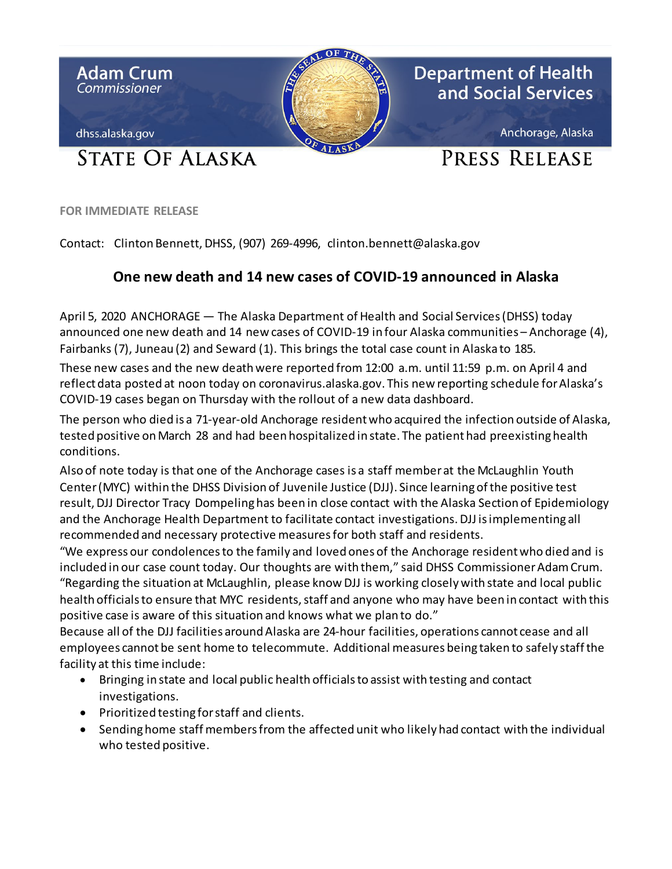

**FOR IMMEDIATE RELEASE**

Contact: Clinton Bennett, DHSS, (907) 269-4996, clinton.bennett@alaska.gov

## **One new death and 14 new cases of COVID-19 announced in Alaska**

April 5, 2020 ANCHORAGE — The Alaska Department of Health and Social Services (DHSS) today announced one new death and 14 new cases of COVID-19 in four Alaska communities – Anchorage (4), Fairbanks (7), Juneau (2) and Seward (1). This brings the total case count in Alaska to 185.

These new cases and the new deathwere reported from 12:00 a.m. until 11:59 p.m. on April 4 and reflect data posted at noon today on coronavirus.alaska.gov. This new reporting schedule for Alaska's COVID-19 cases began on Thursday with the rollout of a new data dashboard.

The person who died is a 71-year-old Anchorage residentwho acquired the infection outside of Alaska, tested positive on March 28 and had been hospitalized in state. The patient had preexisting health conditions.

Also of note today is that one of the Anchorage cases is a staff member at the McLaughlin Youth Center (MYC) within the DHSS Division of Juvenile Justice (DJJ). Since learning of the positive test result, DJJ Director Tracy Dompeling has been in close contact with the Alaska Section of Epidemiology and the Anchorage Health Department to facilitate contact investigations. DJJ is implementing all recommended and necessary protective measuresfor both staff and residents.

"We express our condolences to the family and loved ones of the Anchorage resident who died and is included in our case count today. Our thoughts are with them," said DHSS Commissioner Adam Crum. "Regarding the situation at McLaughlin, please know DJJ is working closely with state and local public health officialsto ensure that MYC residents, staff and anyone who may have been in contact with this positive case is aware of this situation and knows what we plan to do."

Because all of the DJJ facilities around Alaska are 24-hour facilities, operations cannot cease and all employees cannot be sent home to telecommute. Additional measures being taken to safely staff the facility at this time include:

- Bringing in state and local public health officials to assist with testing and contact investigations.
- Prioritized testing for staff and clients.
- Sending home staff members from the affected unit who likely had contact with the individual who tested positive.